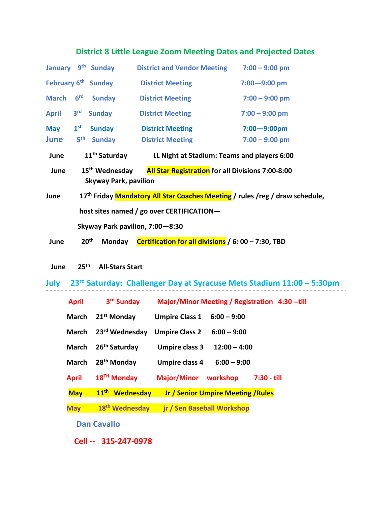## **District 8 Little League Zoom Meeting Dates and Projected Dates**

| February 6 <sup>th</sup> Sunday<br>$7:00 - 9:00$ pm<br><b>District Meeting</b><br>6 <sup>rd</sup><br><b>March</b><br><b>Sunday</b><br><b>District Meeting</b><br>$7:00 - 9:00$ pm<br>3 <sup>rd</sup><br><b>April</b><br><b>Sunday</b><br><b>District Meeting</b><br>$7:00 - 9:00$ pm<br>1 <sup>st</sup><br><b>Sunday</b><br><b>District Meeting</b><br>$7:00 - 9:00$ pm<br><b>May</b><br>$5^{\text{th}}$<br>June<br><b>Sunday</b><br><b>District Meeting</b><br>$7:00 - 9:00$ pm<br>11 <sup>th</sup> Saturday<br>LL Night at Stadium: Teams and players 6:00<br>June<br>15 <sup>th</sup> Wednesday<br>All Star Registration for all Divisions 7:00-8:00<br>June<br><b>Skyway Park, pavilion</b><br>17 <sup>th</sup> Friday Mandatory All Star Coaches Meeting / rules /reg / draw schedule,<br>June<br>host sites named / go over CERTIFICATION-<br>Skyway Park pavilion, 7:00-8:30<br>Certification for all divisions / 6: 00 - 7:30, TBD<br>20 <sup>th</sup><br>Monday<br>June |  |  | January 9 <sup>th</sup> Sunday | <b>District and Vendor Meeting</b> | $7:00 - 9:00$ pm |  |  |  |  |  |  |
|----------------------------------------------------------------------------------------------------------------------------------------------------------------------------------------------------------------------------------------------------------------------------------------------------------------------------------------------------------------------------------------------------------------------------------------------------------------------------------------------------------------------------------------------------------------------------------------------------------------------------------------------------------------------------------------------------------------------------------------------------------------------------------------------------------------------------------------------------------------------------------------------------------------------------------------------------------------------------------|--|--|--------------------------------|------------------------------------|------------------|--|--|--|--|--|--|
|                                                                                                                                                                                                                                                                                                                                                                                                                                                                                                                                                                                                                                                                                                                                                                                                                                                                                                                                                                                  |  |  |                                |                                    |                  |  |  |  |  |  |  |
|                                                                                                                                                                                                                                                                                                                                                                                                                                                                                                                                                                                                                                                                                                                                                                                                                                                                                                                                                                                  |  |  |                                |                                    |                  |  |  |  |  |  |  |
|                                                                                                                                                                                                                                                                                                                                                                                                                                                                                                                                                                                                                                                                                                                                                                                                                                                                                                                                                                                  |  |  |                                |                                    |                  |  |  |  |  |  |  |
|                                                                                                                                                                                                                                                                                                                                                                                                                                                                                                                                                                                                                                                                                                                                                                                                                                                                                                                                                                                  |  |  |                                |                                    |                  |  |  |  |  |  |  |
|                                                                                                                                                                                                                                                                                                                                                                                                                                                                                                                                                                                                                                                                                                                                                                                                                                                                                                                                                                                  |  |  |                                |                                    |                  |  |  |  |  |  |  |
|                                                                                                                                                                                                                                                                                                                                                                                                                                                                                                                                                                                                                                                                                                                                                                                                                                                                                                                                                                                  |  |  |                                |                                    |                  |  |  |  |  |  |  |
|                                                                                                                                                                                                                                                                                                                                                                                                                                                                                                                                                                                                                                                                                                                                                                                                                                                                                                                                                                                  |  |  |                                |                                    |                  |  |  |  |  |  |  |
|                                                                                                                                                                                                                                                                                                                                                                                                                                                                                                                                                                                                                                                                                                                                                                                                                                                                                                                                                                                  |  |  |                                |                                    |                  |  |  |  |  |  |  |
|                                                                                                                                                                                                                                                                                                                                                                                                                                                                                                                                                                                                                                                                                                                                                                                                                                                                                                                                                                                  |  |  |                                |                                    |                  |  |  |  |  |  |  |
|                                                                                                                                                                                                                                                                                                                                                                                                                                                                                                                                                                                                                                                                                                                                                                                                                                                                                                                                                                                  |  |  |                                |                                    |                  |  |  |  |  |  |  |
|                                                                                                                                                                                                                                                                                                                                                                                                                                                                                                                                                                                                                                                                                                                                                                                                                                                                                                                                                                                  |  |  |                                |                                    |                  |  |  |  |  |  |  |

 **June 25th All-Stars Start** 

**July 23rd Saturday: Challenger Day at Syracuse Mets Stadium 11:00 – 5:30pm** 

| <b>April</b> | 3rd Sunday                                                              | Major/Minor Meeting / Registration 4:30 -- till |                            |             |
|--------------|-------------------------------------------------------------------------|-------------------------------------------------|----------------------------|-------------|
| <b>March</b> | 21 <sup>st</sup> Monday                                                 | <b>Umpire Class 1</b>                           | $6:00 - 9:00$              |             |
| <b>March</b> | 23rd Wednesday                                                          | <b>Umpire Class 2</b>                           | $6:00 - 9:00$              |             |
| <b>March</b> | 26 <sup>th</sup> Saturday                                               | <b>Umpire class 3</b>                           | $12:00 - 4:00$             |             |
| <b>March</b> | 28 <sup>th</sup> Monday                                                 | <b>Umpire class 4</b>                           | $6:00 - 9:00$              |             |
| <b>April</b> | $18TH$ Monday                                                           | <b>Major/Minor</b>                              | workshop                   | 7:30 - till |
| <b>May</b>   | 11 <sup>th</sup> Wednesday<br><b>Jr / Senior Umpire Meeting / Rules</b> |                                                 |                            |             |
| <b>May</b>   | 18 <sup>th</sup> Wednesday                                              |                                                 | jr / Sen Baseball Workshop |             |
|              |                                                                         |                                                 |                            |             |

 **Dan Cavallo** 

 **Cell -- 315-247-0978**